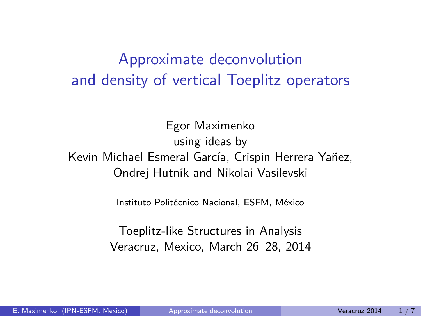# Approximate deconvolution and density of vertical Toeplitz operators

Egor Maximenko using ideas by Kevin Michael Esmeral García, Crispin Herrera Yañez, Ondrej Hutník and Nikolai Vasilevski

Instituto Politécnico Nacional, ESFM, México

<span id="page-0-0"></span>Toeplitz-like Structures in Analysis Veracruz, Mexico, March 26–28, 2014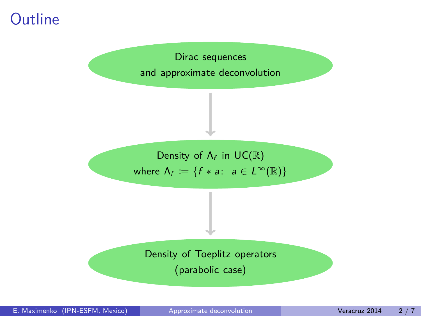# **Outline**

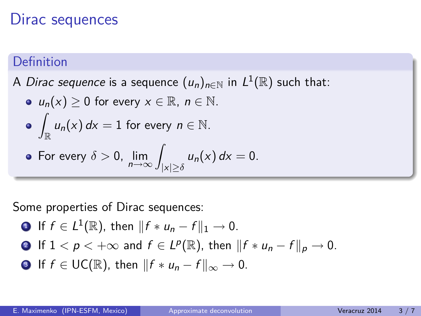## Dirac sequences

### Definition

A *Dirac sequence* is a sequence  $(u_n)_{n\in\mathbb{N}}$  in  $L^1(\mathbb{R})$  such that:

\n- \n
$$
u_n(x) \geq 0
$$
 for every  $x \in \mathbb{R}$ ,  $n \in \mathbb{N}$ .\n
\n- \n $\int_{\mathbb{R}} u_n(x) \, dx = 1$  for every  $n \in \mathbb{N}$ .\n
\n- \n For every  $\delta > 0$ ,  $\lim_{n \to \infty} \int_{|x| \geq \delta} u_n(x) \, dx = 0$ .\n
\n

Some properties of Dirac sequences:

• If 
$$
f \in L^1(\mathbb{R})
$$
, then  $||f * u_n - f||_1 \to 0$ .

• If 
$$
1 < p < +\infty
$$
 and  $f \in L^p(\mathbb{R})$ , then  $||f * u_n - f||_p \to 0$ .

**3** If  $f \in UC(\mathbb{R})$ , then  $||f * u_n - f||_{\infty} \to 0$ .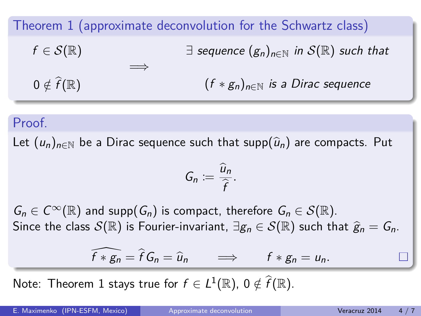Theorem 1 (approximate deconvolution for the Schwartz class)  $f \in \mathcal{S}(\mathbb{R})$  $0 \notin \widehat{f}(\mathbb{R})$ =⇒  $\exists$  sequence  $(g_n)_{n\in\mathbb{N}}$  in  $\mathcal{S}(\mathbb{R})$  such that  $(f * g_n)_{n \in \mathbb{N}}$  is a Dirac sequence

#### Proof.

Let  $(u_n)_{n\in\mathbb{N}}$  be a Dirac sequence such that supp $(\hat{u}_n)$  are compacts. Put

$$
G_n:=\frac{\widehat{u}_n}{\widehat{f}}.
$$

 $G_n \in C^{\infty}(\mathbb{R})$  and supp $(G_n)$  is compact, therefore  $G_n \in \mathcal{S}(\mathbb{R})$ . Since the class  $S(\mathbb{R})$  is Fourier-invariant,  $\exists g_n \in S(\mathbb{R})$  such that  $\hat{g}_n = G_n$ .

$$
\widehat{f * g_n} = \widehat{f} G_n = \widehat{u}_n \qquad \Longrightarrow \qquad f * g_n = u_n.
$$

Note: Theorem 1 stays true for  $f \in L^1(\mathbb{R})$ ,  $0 \notin \widehat{f}(\mathbb{R})$ .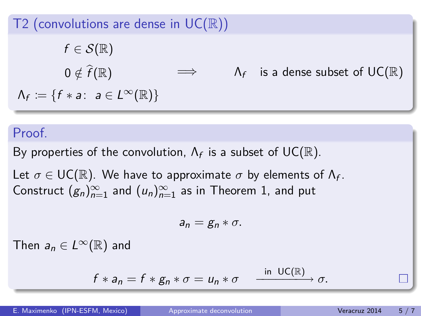## T2 (convolutions are dense in  $UC(\mathbb{R})$ )

$$
f \in \mathcal{S}(\mathbb{R})
$$
  
\n
$$
0 \notin \widehat{f}(\mathbb{R}) \qquad \Longrightarrow \qquad \Lambda_f \quad \text{is a dense subset of } UC(\mathbb{R})
$$
  
\n
$$
\Lambda_f := \{ f * a: a \in L^{\infty}(\mathbb{R}) \}
$$

#### Proof.

By properties of the convolution,  $\Lambda_f$  is a subset of  $\mathsf{UC}(\mathbb{R}).$ 

Let  $\sigma \in \mathsf{UC}(\mathbb{R})$ . We have to approximate  $\sigma$  by elements of  $\Lambda_f$ . Construct  $(g_n)_{n=1}^{\infty}$  and  $(u_n)_{n=1}^{\infty}$  as in Theorem 1, and put

$$
a_n=g_n*\sigma.
$$

Then  $a_n \in L^{\infty}(\mathbb{R})$  and

$$
f * a_n = f * g_n * \sigma = u_n * \sigma \qquad \xrightarrow{\text{in } \text{UC}(\mathbb{R})} \sigma.
$$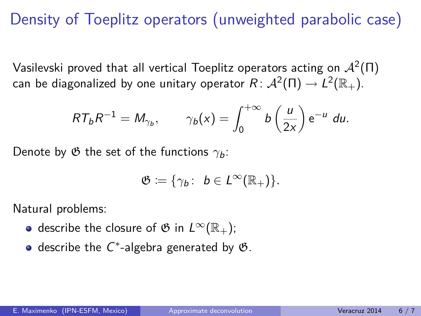# Density of Toeplitz operators (unweighted parabolic case)

Vasilevski proved that all vertical Toeplitz operators acting on  $\mathcal{A}^2(\Pi)$ can be diagonalized by one unitary operator  $R\colon \mathcal{A}^2(\Pi) \to L^2(\mathbb{R}_+).$ 

$$
RT_bR^{-1}=M_{\gamma_b}, \qquad \gamma_b(x)=\int_0^{+\infty}b\left(\frac{u}{2x}\right)\mathrm{e}^{-u}\;du.
$$

Denote by  $\mathfrak G$  the set of the functions  $\gamma_b$ :

$$
\mathfrak{G}:=\{\gamma_b\colon\ b\in L^\infty(\mathbb{R}_+)\}.
$$

Natural problems:

- describe the closure of  $\mathfrak{G}$  in  $L^{\infty}(\mathbb{R}_{+})$ ;
- describe the  $C^*$ -algebra generated by  $\mathfrak{G}.$